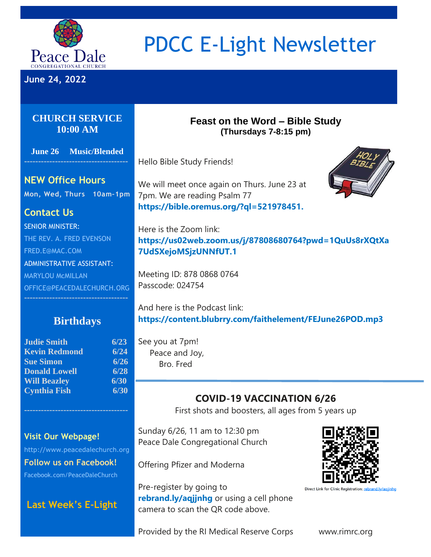

# PDCC E-Light Newsletter

**June 24, 2022**

#### **CHURCH SERVICE 10:00 AM**

**June 26 Music/Blended**

#### **Feast on the Word – Bible Study (Thursdays 7-8:15 pm)**

Hello Bible Study Friends!

#### **NEW Office Hours**

**Mon, Wed, Thurs 10am–1pm** 

# **Contact Us**

SENIOR MINISTER: THE REV. A. FRED EVENSON [FRED.E@MAC.COM](mailto:FRED.E@MAC.COM) ADMINISTRATIVE ASSISTANT: MARYLOU McMILLAN [OFFICE@PEACEDALECHURCH.ORG](mailto:OFFICE@PEACEDALECHURCH.ORG) We will meet once again on Thurs. June 23 at 7pm. We are reading Psalm 77 **[https://bible.oremus.org/?ql=521978451.](https://bible.oremus.org/?ql=521978451)**



Here is the Zoom link: **[https://us02web.zoom.us/j/87808680764?pwd=1QuUs8rXQtXa](https://us02web.zoom.us/j/87808680764?pwd=1QuUs8rXQtXa7UdSXejoMSjzUNNfUT.1) [7UdSXejoMSjzUNNfUT.1](https://us02web.zoom.us/j/87808680764?pwd=1QuUs8rXQtXa7UdSXejoMSjzUNNfUT.1)**

Meeting ID: 878 0868 0764 Passcode: 024754

## **Birthdays**

| 6/23 |
|------|
| 6/24 |
| 6/26 |
| 6/28 |
| 6/30 |
| 6/30 |
|      |

And here is the Podcast link: **<https://content.blubrry.com/faithelement/FEJune26POD.mp3>**

See you at 7pm! Peace and Joy, Bro. Fred

# **COVID-19 VACCINATION 6/26**

First shots and boosters, all ages from 5 years up

#### **Visit Our Webpage!**

[http://www.peacedalechurch.org](http://www.peacedalechurch.org/) **Follow us on Facebook!** Facebook.com/PeaceDaleChurch

## **[Last Week's E](https://www.peacedalechurch.org/e-li)-Light**

Sunday 6/26, 11 am to 12:30 pm Peace Dale Congregational Church

Offering Pfizer and Moderna

Pre-register by going to **[rebrand.ly/aqjjnhg](http://rebrand.ly/aqjjnhg)** or using a cell phone camera to scan the QR code above.



Direct Link for Clinic Registration: rebrand.ly/agjinhg

Provided by the RI Medical Reserve Corps www.rimrc.org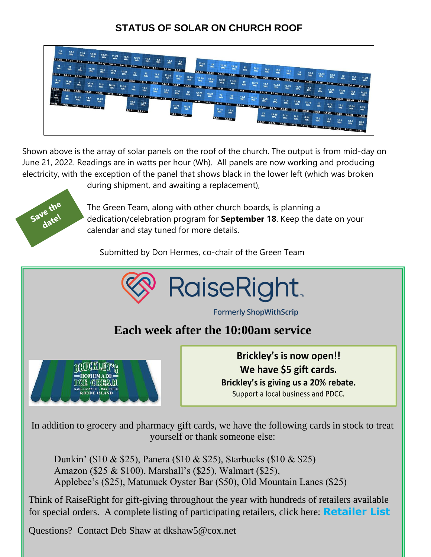# **STATUS OF SOLAR ON CHURCH ROOF**



Shown above is the array of solar panels on the roof of the church. The output is from mid-day on June 21, 2022. Readings are in watts per hour (Wh). All panels are now working and producing electricity, with the exception of the panel that shows black in the lower left (which was broken



during shipment, and awaiting a replacement),

The Green Team, along with other church boards, is planning a dedication/celebration program for **September 18**. Keep the date on your calendar and stay tuned for more details.

Submitted by Don Hermes, co-chair of the Green Team



**Formerly ShopWithScrip** 

# **Each week after the 10:00am service**



**Brickley's is now open!!** We have \$5 gift cards. Brickley's is giving us a 20% rebate. Support a local business and PDCC.

In addition to grocery and pharmacy gift cards, we have the following cards in stock to treat yourself or thank someone else:

Dunkin' (\$10 & \$25), Panera (\$10 & \$25), Starbucks (\$10 & \$25) Amazon (\$25 & \$100), Marshall's (\$25), Walmart (\$25), Applebee's (\$25), Matunuck Oyster Bar (\$50), Old Mountain Lanes (\$25)

Think of RaiseRight for gift-giving throughout the year with hundreds of retailers available for special orders. A complete listing of participating retailers, click here: **[Retailer List](https://489258.fs1.hubspotusercontent-na1.net/hubfs/489258/Printable%20Retailer%20List.pdf)**

Questions? Contact Deb Shaw at dkshaw5@cox.net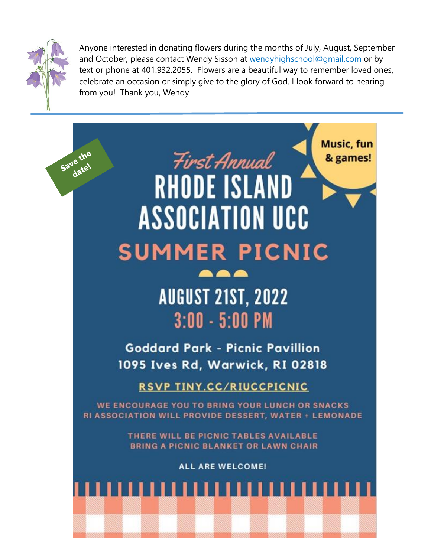

Anyone interested in donating flowers during the months of July, August, September and October, please contact Wendy Sisson at [wendyhighschool@gmail.com](mailto:wendyhighschool@gmail.com) or by text or phone at 401.932.2055. Flowers are a beautiful way to remember loved ones, celebrate an occasion or simply give to the glory of God. I look forward to hearing from you! Thank you, Wendy

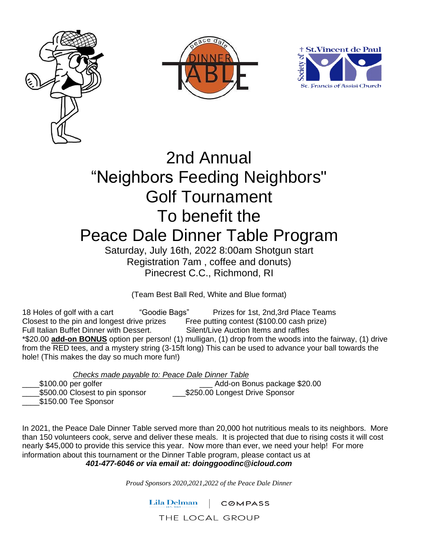





# 2nd Annual "Neighbors Feeding Neighbors" Golf Tournament To benefit the Peace Dale Dinner Table Program Saturday, July 16th, 2022 8:00am Shotgun start

Registration 7am , coffee and donuts) Pinecrest C.C., Richmond, RI

(Team Best Ball Red, White and Blue format)

18 Holes of golf with a cart "Goodie Bags" Prizes for 1st, 2nd,3rd Place Teams Closest to the pin and longest drive prizes Free putting contest (\$100.00 cash prize)<br>Full Italian Buffet Dinner with Dessert. Silent/Live Auction Items and raffles Full Italian Buffet Dinner with Dessert. \*\$20.00 **add-on BONUS** option per person! (1) mulligan, (1) drop from the woods into the fairway, (1) drive from the RED tees, and a mystery string (3-15ft long) This can be used to advance your ball towards the hole! (This makes the day so much more fun!)

*Checks made payable to: Peace Dale Dinner Table*

Add-on Bonus package \$20.00 \$500.00 Closest to pin sponsor \$250.00 Longest Drive Sponsor

\$150.00 Tee Sponsor

In 2021, the Peace Dale Dinner Table served more than 20,000 hot nutritious meals to its neighbors. More than 150 volunteers cook, serve and deliver these meals. It is projected that due to rising costs it will cost nearly \$45,000 to provide this service this year. Now more than ever, we need your help! For more information about this tournament or the Dinner Table program, please contact us at *401-477-6046 or via email at: doinggoodinc@icloud.com*

*Proud Sponsors 2020,2021,2022 of the Peace Dale Dinner*

Lila Delman **COMPASS** 

THE LOCAL GROUP